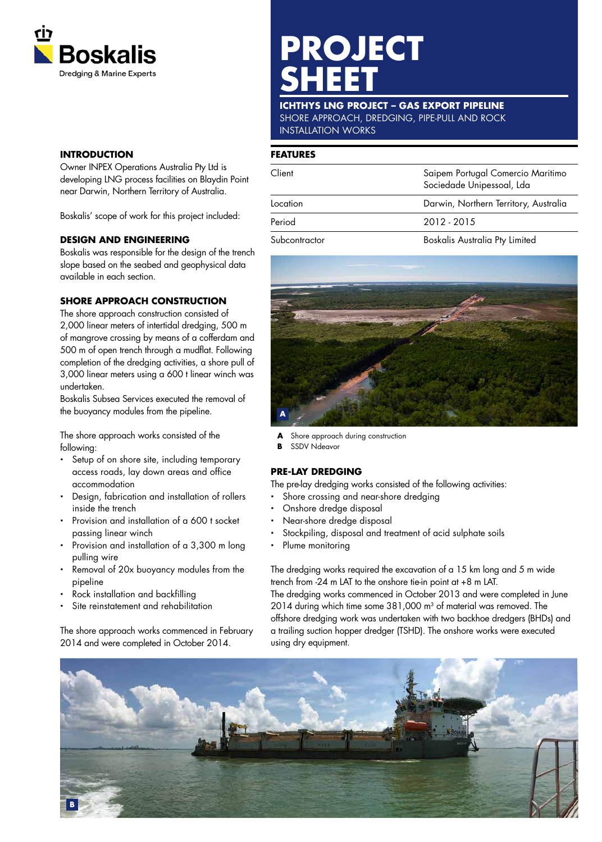

# **INTRODUCTION**

Owner INPEX Operations Australia Pty Ltd is developing LNG process facilities on Blaydin Point near Darwin, Northern Territory of Australia.

Boskalis' scope of work for this project included:

## **DESIGN AND ENGINEERING**

Boskalis was responsible for the design of the trench slope based on the seabed and geophysical data available in each section.

## **SHORE APPROACH CONSTRUCTION**

The shore approach construction consisted of 2,000 linear meters of intertidal dredging, 500 m of mangrove crossing by means of a cofferdam and 500 m of open trench through a mudflat. Following completion of the dredging activities, a shore pull of 3,000 linear meters using a 600 t linear winch was undertaken.

Boskalis Subsea Services executed the removal of the buoyancy modules from the pipeline.

The shore approach works consisted of the following:

- Setup of on shore site, including temporary access roads, lay down areas and office accommodation
- Design, fabrication and installation of rollers inside the trench
- Provision and installation of a 600 t socket passing linear winch
- Provision and installation of a 3,300 m long pulling wire
- Removal of 20x buoyancy modules from the pipeline
- Rock installation and backfilling
- Site reinstatement and rehabilitation

The shore approach works commenced in February 2014 and were completed in October 2014.

# **PROJECT SHEET**

#### **ICHTHYS LNG PROJECT – GAS EXPORT PIPELINE** SHORE APPROACH, DREDGING, PIPE-PULL AND ROCK INSTALLATION WORKS

#### **FEATURES**

| Client               | Saipem Portugal Comercio Maritimo<br>Sociedade Unipessoal, Lda |
|----------------------|----------------------------------------------------------------|
| Location             | Darwin, Northern Territory, Australia                          |
| Period               | 2012 - 2015                                                    |
| $\sim$ $\sim$ $\sim$ | <b>D</b> I I A . I D. I I                                      |

Subcontractor Boskalis Australia Pty Limited



**A** Shore approach during construction

**B** SSDV Ndeavor

## **PRE-LAY DREDGING**

The pre-lay dredging works consisted of the following activities:

- Shore crossing and near-shore dredging
- Onshore dredge disposal
- Near-shore dredge disposal
- Stockpiling, disposal and treatment of acid sulphate soils
- Plume monitoring

The dredging works required the excavation of a 15 km long and 5 m wide trench from -24 m LAT to the onshore tie-in point at +8 m LAT. The dredging works commenced in October 2013 and were completed in June 2014 during which time some 381,000 m<sup>3</sup> of material was removed. The offshore dredging work was undertaken with two backhoe dredgers (BHDs) and a trailing suction hopper dredger (TSHD). The onshore works were executed using dry equipment.